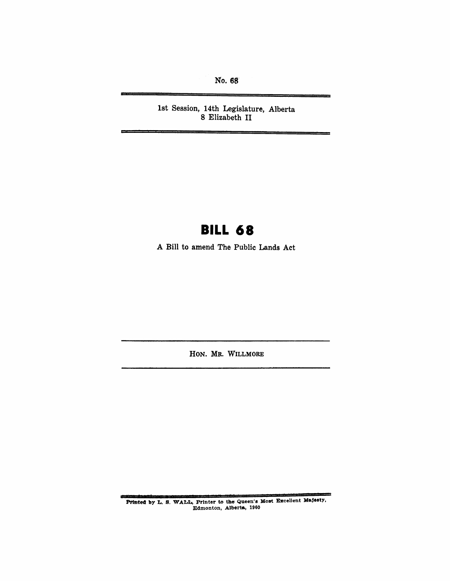No. 68

1st Session, 14th Legislature, Alberta 8 Elizabeth II

# **BILL 68**

A Bill to amend The Public Lands Act

HON. MR. WILLMORE

Printed by L. S. WALL, Printer to the Queen's Most Excellent Majesty, Edmonton, Alberta, 1960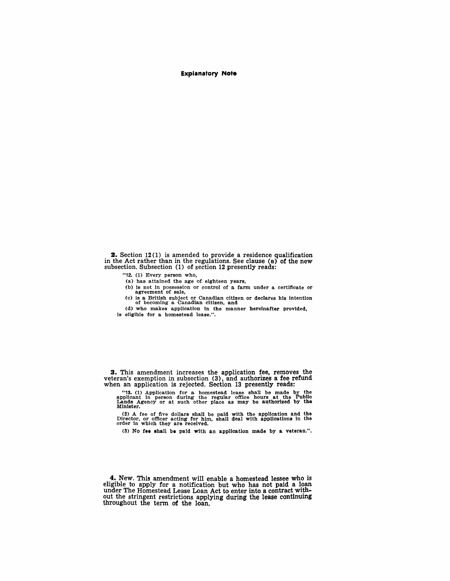**Explanatory Note** 

**2.** Section 12(1) is amended to provide a residence qualification in the Act rather than in the regulations. See clause (a) of the new subsection. Subsection (1) of section 12 presently reads:

- "12. (1) Every person who.
- (a) has attained the age of eighteen years.
- (b) is not in possession or control of a farm under a certificate or agreement of sale,
- (c) is a British subject or Canadian citizen or declares his intention of becoming a Canadian citizen. and
- (d) who makes application in the manner hereinafter provided. is eligible for a homestead lease.".

3. This amendment increases the application fee, removes the veteran's exemption in subsection (3), and authorizes a fee refund when an application is rejected. Section 13 presently reads:

"13. (1) Application for a homestead lease shall be made by the applicant in person during the regular office hours at the Publio Lands Agency or at such other place as may be authorized by the Minister.

(2) A fee of five dollars shall be paid with the application and the Director. or officer acting for him, shall deal with applioations in the order in which they are received.

(3) No fee shall be paid with an application made by a veteran.".

4. New. This amendment will enable a homestead lessee who is eligible to apply for a notification but who has not paid a loan under The Homestead Lease Loan Act to enter into a contract without the stringent restrictions applying during the lease continuing throughout the term of the loan.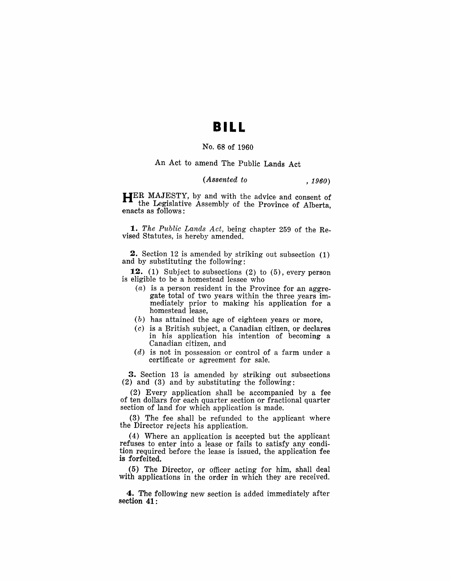## **BILL**

#### No. 68 of 1960

#### An Act to amend The Public Lands Act

### *(Assented to , 1960)*

HER MAJESTY, by and with the advice and consent of the Legislative Assembly of the Province of Alberta enacts as follows: '

*1. The Public Lands Act,* being chapter 259 of the Revised Statutes, is hereby amended.

2. Section 12 is amended by striking out subsection (1) and by substituting the following:

12. (1) Subject to subsections (2) to (5), every person is eligible to be a homestead lessee who

- (a) is a person resident in the Province for an aggregate total of two years within the three years immediately prior to making his application for a homestead lease,
- (b) has attained the age of eighteen years or more,
- (c) is a British subject, a Canadian citizen, or declares in his application his intention of becoming a Canadian citizen, and
- (d) is not in possession or control of a farm under a certificate or agreement for sale.

3. Section 13 is amended by striking out subsections (2) and (3) and by substituting the following:

(2) Every application shall be accompanied by a fee of ten dollars for each quarter section or fractional quarter section of land for which application is made.

(3) The fee shall be refunded to the applicant where the Director rejects his application.

(4) Where an application is accepted but the applicant refuses to enter into a lease or fails to satisfy any condition required before the lease is issued, the application fee is forfeited.

(5) The Director, or officer acting for him, shall deal with applications in the order in which they are received.

4. The following new section is added immediately after section 41: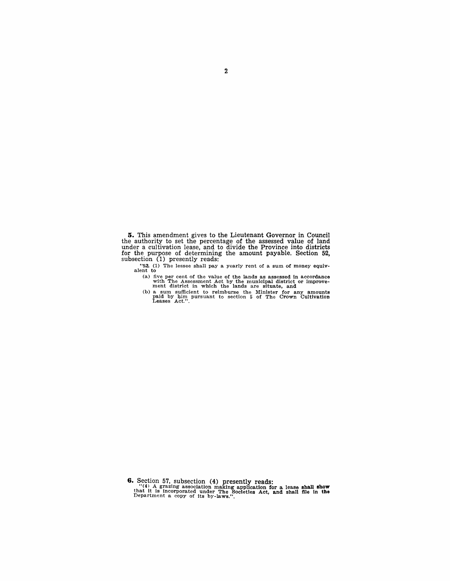**5.** This amendment gives to the Lieutenant Governor in Council the authority to set the percentage of the assessed value of land under a cultivation lease, and to divide the Province into districts for the purpose of determining the amount payable. Section 52, subsection  $(1)$  presently reads:

"52. (1) The lessee shall pay a yearly rent of a sum of money equiv- alent to

(a) five per cent of the value of the lands as assessed in accordance with The Assessment Act by the municipal district or improve-<br>ment district in which the lands are situate, and

(b) a sum sufficient to reimburse the Minister for any amounts paid by him pursuant to section 5 of The Crown Cultivation Leases Act.".

**6.** Section 57, subsection (4) presently reads:<br>"(4) A grazing association making application for a lease shall show<br>that it is incorporated under The Societies Act, and shall file in the<br>Department a copy of its by-laws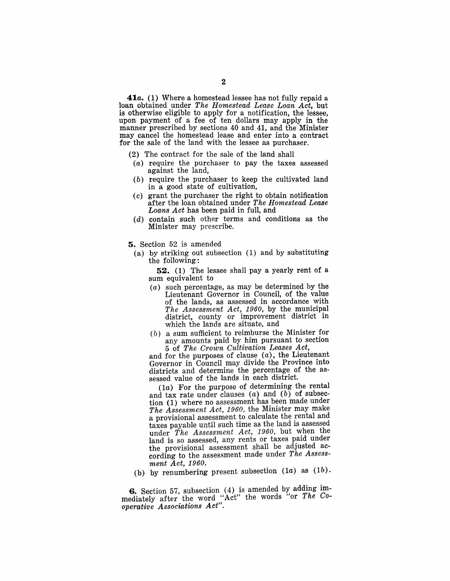**41a.** (1) Where a homestead lessee has not fully repaid a loan obtained under *The Homestead Lease Loan Act,* but is otherwise eligible to apply for a notification, the lessee, upon payment of a fee of ten dollars may apply in the manner prescribed by sections 40 and 41, and the Minister may cancel the homestead lease and enter into a contract for the sale of the land with the lessee as purchaser.

- (2) The contract for the sale of the land shall
- (a) require the purchaser to pay the taxes assessed against the land,
- (b) require the purchaser to keep the cultivated land in a good state of cultivation,
- (c) grant the purchaser the right to obtain notification after the loan obtained under *The Homestead Lease Loans Act* has been paid in full, and
- (d) contain such other terms and conditions as the Minister may prescribe.
- 5. Section 52 is amended
	- (a) by striking out subsection (1) and by substituting the following:

52. (1) The lessee shall pay a yearly rent of a sum equivalent to

- (a) such percentage, as may be determined by the Lieutenant Governor in Council, of the value of the lands, as assessed in accordance with *The Assessment Act, 1960,* by the municipal district, county or improvement district in which the lands are situate, and
- (b) a sum sufficient to reimburse the Minister for any amounts paid by him pursuant to section 5 of *The Crown Cultivation Leases Act,*

and for the purposes of clause  $(a)$ , the Lieutenant Governor in Council may divide the Province into districts and determine the percentage of the assessed value of the lands in each district.

(1a) For the purpose of determining the rental and tax rate under clauses  $(a)$  and  $(b)$  of subsection (1) where no assessment has been made under *The Assessment Act, 1960,* the Minister may make a provisional assessment to calculate the rental and taxes payable until such time as the land is assessed under *The Assessment Act, 1960,* but when the land is so assessed, any rents or taxes paid under the provisional assessment shall be adjusted according to the assessment made under *The Assessment Act, 1960.* 

(b) by renumbering present subsection  $(1a)$  as  $(1b)$ .

6. Section 57, subsection (4) is amended by adding immediately after'the word "Act" the words "or *The Cooperative Associations Act".*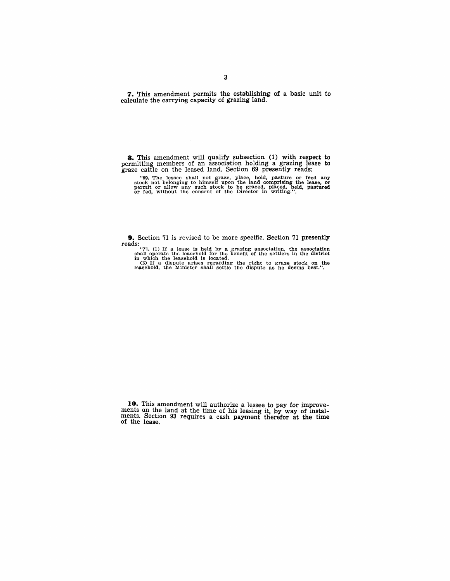**7.** This amendment permits the establishing of a basic unit to calculate the carrying capacity of grazing land.

**8.** This amendment will qualify subsection (1) with respect to permitting members of an association holding a grazing lease to graze cattle on the leased land. Section 69 presently reads:

"69. The lessee shall not graze, place, hold, pasture or feed any stock not belonging to himself upon the land comprising the lease, or permit or allow any such stock to be grazed, placed, held, pastured or fed, without th

**9.** Section 71 is revised to be more specific. Section 71 presently

reads:<br>"71. (1) If a lease is held by a grazing association, the association<br>shall operate the leasehold for the benefit of the settlers in the district<br>in which the leasehold is located.<br>(2) If a dispute arises regarding

**10.** This amendment will authorize a lessee to pay for improvements on the land at the time of his leasing it, by way of instal-<br>ments. Section 93 requires a cash payment therefor at the time<br>of the lease.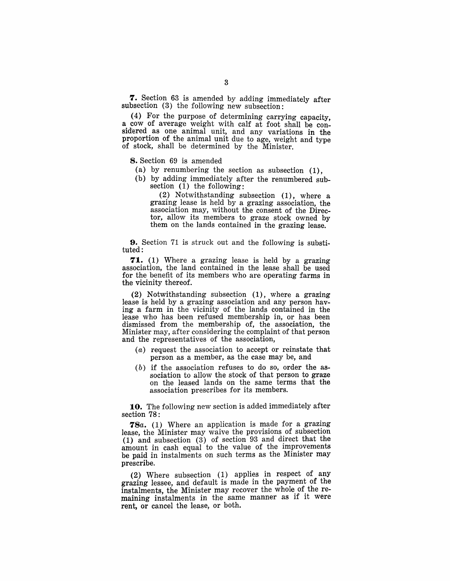**7.** Section 63 is amended by adding immediately after subsection (3) the following new subsection:

(4) For the purpose of determining carrying capacity a cow of average weight with calf at foot shall be considered as one animal unit, and any variations in the proportion of the animal unit due to age, weight and type of stock, shall be determined by the Minister.

8. Section 69 is amended

- (a) by renumbering the section as subsection (1),
- (b) by adding immediately after the renumbered subsection (1) the following:

(2) Notwithstanding subsection (1), where a grazing lease is held by a grazing association, the association may, without the consent of the Director, allow its members to graze stock owned by them on the lands contained in the grazing lease.

9. Section 71 is struck out and the following is substituted:

**71.** (1) Where a grazing lease is held by a grazing association, the land contained in the lease shall be used for the benefit of its members who are operating farms in the vicinity thereof.

(2) Notwithstanding subsection (1), where a grazing lease is held by a grazing association and any person having a farm in the vicinity of the lands contained in the lease who has been refused membership in, or has been dismissed from the membership of, the association, the Minister may, after considering the complaint of that person and the representatives of the association,

- (a) request the association to accept or reinstate that person as a member, as the case may be, and
- (b) if the association refuses to do so, order the association to allow the stock of that person to graze on the leased lands on the same terms that the association prescribes for its members.

**10.** The following new section is added immediately after section 78:

*78a.* (1) Where an application is made for a grazing lease, the Minister may waive the provisions of subsection (1) and subsection  $(3)$  of section 93 and direct that the amount in cash equal to the value of the Improvements be paid in instalments on such terms as the Minister may prescribe.

(2) Where subsection (1) applies in respect of any grazing lessee, and default is made in the payment of the instalments, the Minister may recover the whole of the remaining instalments in the same manner as if it were rent, or cancel the lease, or both.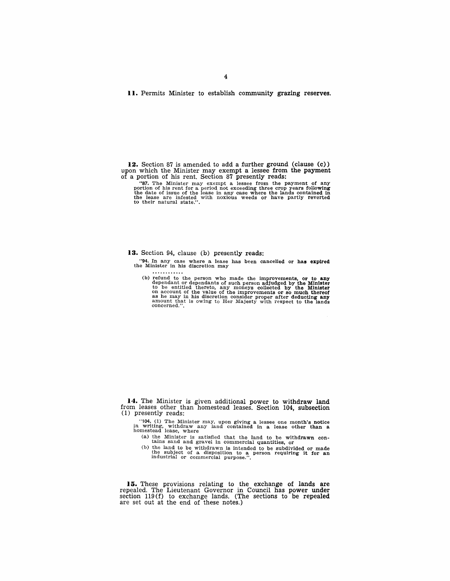**II.** Permits Minister to establish community grazing reserves.

12. Section 87 is amended to add a further ground (clause (c)) upon which the Minister may exempt a lessee from the payment of a portion of his rent. Section 87 presently reads:

"87. The Minister may exempt a lessee from the payment of any portion of his rent for a period not exceeding three crop years following the date of issue of the lease in any case where the lands contained in the date of is

**13.** Section 94, clause (b) presently reads:

"94. In any case where a lease has been cancelled or has expired the Minister in his discretion may

. . . . . . . . . . . .

(b) refund to the person who made the improvements, or to any dependant or dependants of such person adjudged by the Minister to be entitled thereto, any moneys collected by the Minister on account of the value of the imp

**14.** The Minister is given additional power to withdraw land from leases other than homestead leases. Section 104, subsection (1) presently reads:

"104. (1) The Minister may, upon giving a lessee one month's notice in writing, withdraw any land contained in a lease other than a homestead lease, where

(a) the Minister is satisfied that the land to be withdrawn con- tains sand and gravel in commercial quantities, or

(b) the land to be withdrawn is intended to be subdivided or made the subject of a disposition to a person requiring it for an industrial or commercial purpose.".

**15.** These provisions relating to the exchange of lands are repealed. The Lieutenant Governor in Council has power under section 119 (f) to exchange lands. (The sections to be repealed are set out at the end of these notes.)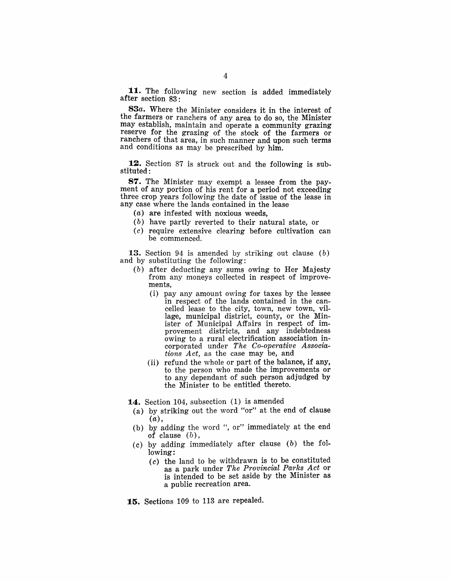11. The following new section is added immediately after section 83:

*83a.* Where the Minister considers it in the interest of the farmers or ranchers of any area to do so, the Minister may establish, maintain and operate a community grazing reserve for the grazing of the stock of the farmers or ranchers of that area, in such manner and upon such terms and conditions as may be prescribed by him.

12. Section 87 is struck out and the following is substituted:

87. The Minister may exempt a lessee from the payment of any portion of his rent for a period not exceeding three crop years following the date of issue of the lease in any case where the lands contained in the lease

- (a) are infested with noxious weeds,
- (b) have partly reverted to their natural state, or
- (c) require extensive clearing before cultivation can be commenced.

13. Section 94 is amended by striking out clause (b) and by substituting the following:

- (b) after deducting any sums owing to Her Majesty from any moneys collected in respect of improvements,
	- (i) pay any amount owing for taxes by the lessee in respect of the lands contained in the cancelled lease to the city, town, new town, village, municipal district, county, or the Minister of Municipal Affairs in respect of improvement districts, and any indebtedness owing to a rural electrification association incorporated under *The Co-operative Associations Act,* as the case may be, and
	- (ii) refund the whole or part of the balance, if any, to the person who made the improvements or to any dependant of such person adjudged by the Minister to be entitled thereto.

14. Section 104, subsection (1) is amended

- (a) by striking out the word "or" at the end of clause  $(a)$ ,
- (b) by adding the word ", or" immediately at the end of clause  $(b)$ ,
- (c) by adding immediately after clause (b) the following:
	- (c) the land to be withdrawn is to be constituted as a park under *The Provincial Parks Act* or is intended to be set aside by the Minister as a public recreation area.
- 15. Sections 109 to 113 are repealed.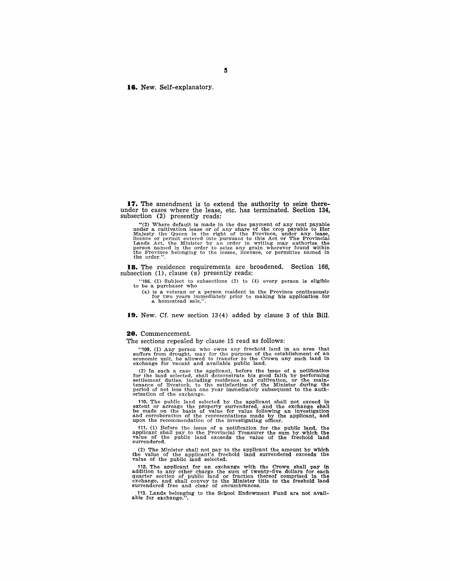**16.** New. Self-explanatory.

**17.** The amendment is to extend the authority to seize thereunder to cases where the lease, etc. has terminated. Section **134,**  subsection (2) presently reads:

"(2) Where default is made in the due payment of any rent payable under a cultivation lease or of any share of the crop payable to Her Majesty the Queen in the right of the Province, under any lease, licence or permit ent the order.".

**18.** The residence requirements are broadened. Section 166, subsection  $(1)$ , clause  $(a)$  presently reads:

"166. (1) Subject to subsections (2) to (4) every person is eligible to be a purchaser who

(a) is a veteran or a person resident in the Province continuously<br>for two years immediately prior to making his application for<br>a homestead sale,".

**19.** New. Cf. new section 13(4) added by clause 3 of this Bill.

#### **20.** Commencement.

The sections repealed by clause 15 read as follows:

"109. (1) Any person who owns any freehold land in an area that suffers from drought, may for the purpose of the establishment of an economic unit, be allowed to transfer to the Crown any such land in exchange for vacant

(2) In such a case the applicant, before the issue of a notification<br>for the land selected, shall demonstrate his good faith by performing<br>settlement duties, including residence and cultivation, or the main-<br>tenance of li orization of the exchange.

110. The public land selected by the applicant shall not exceed in extent or acreage the property surrendered, and the exchange shall be made on the basis of value for value following an investigation and corroboration of the representations made by the applicant, and upon the recommendation of the investigating officer.

111. (1) Before the issue of a notification for the public land, the applicant shall pay to the Provincial Treasurer the sum by which the value of the public land exceeds the value of the freehold land surrendered.

(2) The Minister shall not pay to the applicant the amount by which the value of the applicant's freehold land surrendered exceeds the value of the public land selected.

112. The applicant for an exchange with the Crown shall pay in addition to any other charge the sum of twenty-five dollars for each quarter section of public land or fraction thereof comprised in the exchange, and shall co

113. Lands belonging to the Scbool Endowment Fund are not avail-able for exchange.".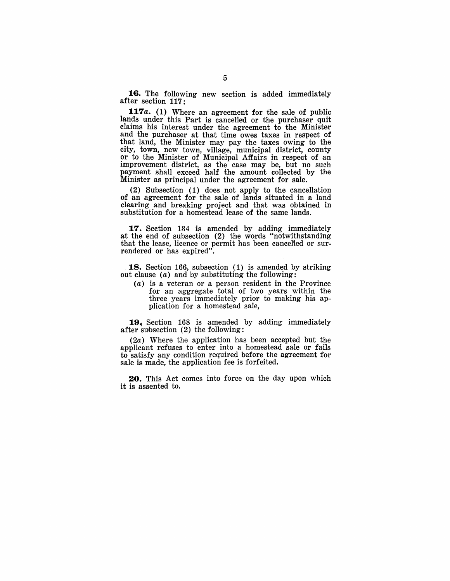16. The following new section is added immediately after section 117:

**117** *a.* (1) Where an agreement for the sale of public lands under this Part is cancelled or the purchaser quit claims his interest under the agreement to the Minister and the purchaser at that time owes taxes in respect of that land, the Minister may pay the taxes owing to the city, town, new town, village, municipal district, county or to the Minister of Municipal Affairs in respect of an improvement district, as the case may be, but no such payment shall exceed half the amount collected by the Minister as principal under the agreement for sale.

(2) Subsection (1) does not apply to the cancellation of an agreement for the sale of lands situated in a land clearing and breaking project and that was obtained in substitution for a homestead lease of the same lands.

**17.** Section 134 is amended by adding immediately at the end of subsection (2) the words "notwithstanding that the lease, licence or permit has been cancelled or surrendered or has expired".

18. Section 166, subsection (1) is amended by striking out clause  $(a)$  and by substituting the following:

(a) is a veteran or a person resident in the Province for an aggregate total of two years within the three years immediately prior to making his application for a homestead sale,

19, Section 168 is amended by adding immediately after subsection (2) the following:

(2a) Where the application has been accepted but the applicant refuses to enter into a homestead sale or fails to satisfy any condition required before the agreement for sale is made, the application fee is forfeited.

20. This Act comes into force on the day upon which it is assented to.